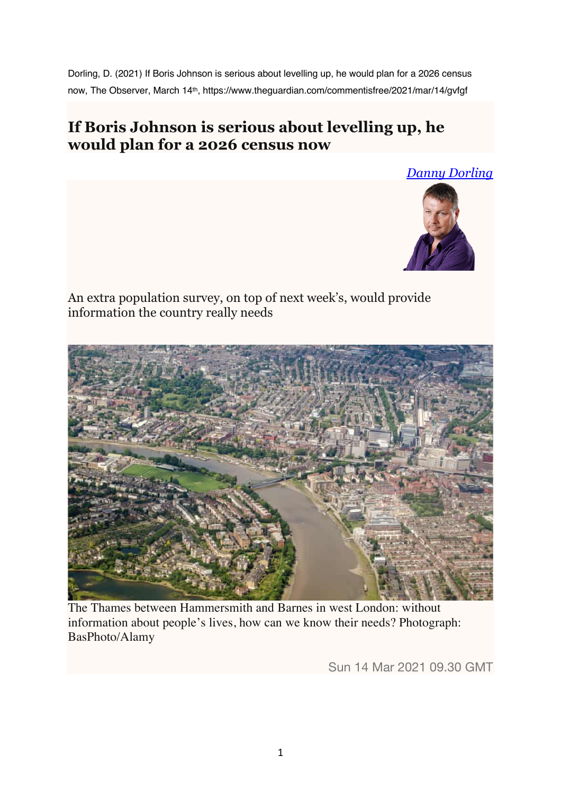Dorling, D. (2021) If Boris Johnson is serious about levelling up, he would plan for a 2026 census now, The Observer, March 14th, https://www.theguardian.com/commentisfree/2021/mar/14/gvfgf

## **If Boris Johnson is serious about levelling up, he would plan for a 2026 census now**





An extra population survey, on top of next week's, would provide information the country really needs



The Thames between Hammersmith and Barnes in west London: without information about people's lives, how can we know their needs? Photograph: BasPhoto/Alamy

Sun 14 Mar 2021 09.30 GMT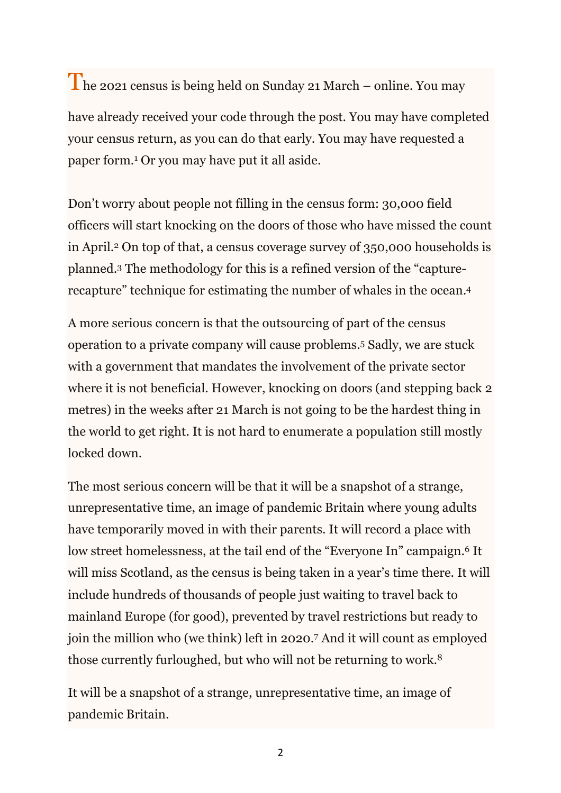The 2021 census is being held on Sunday 21 March – online. You may have already received your code through the post. You may have completed your census return, as you can do that early. You may have requested a paper form.1 Or you may have put it all aside.

Don't worry about people not filling in the census form: 30,000 field officers will start knocking on the doors of those who have missed the count in April.2 On top of that, a census coverage survey of 350,000 households is planned.3 The methodology for this is a refined version of the "capturerecapture" technique for estimating the number of whales in the ocean.4

A more serious concern is that the outsourcing of part of the census operation to a private company will cause problems.5 Sadly, we are stuck with a government that mandates the involvement of the private sector where it is not beneficial. However, knocking on doors (and stepping back 2) metres) in the weeks after 21 March is not going to be the hardest thing in the world to get right. It is not hard to enumerate a population still mostly locked down.

The most serious concern will be that it will be a snapshot of a strange, unrepresentative time, an image of pandemic Britain where young adults have temporarily moved in with their parents. It will record a place with low street homelessness, at the tail end of the "Everyone In" campaign.<sup>6</sup> It will miss Scotland, as the census is being taken in a year's time there. It will include hundreds of thousands of people just waiting to travel back to mainland Europe (for good), prevented by travel restrictions but ready to join the million who (we think) left in 2020.7 And it will count as employed those currently furloughed, but who will not be returning to work.8

It will be a snapshot of a strange, unrepresentative time, an image of pandemic Britain.

2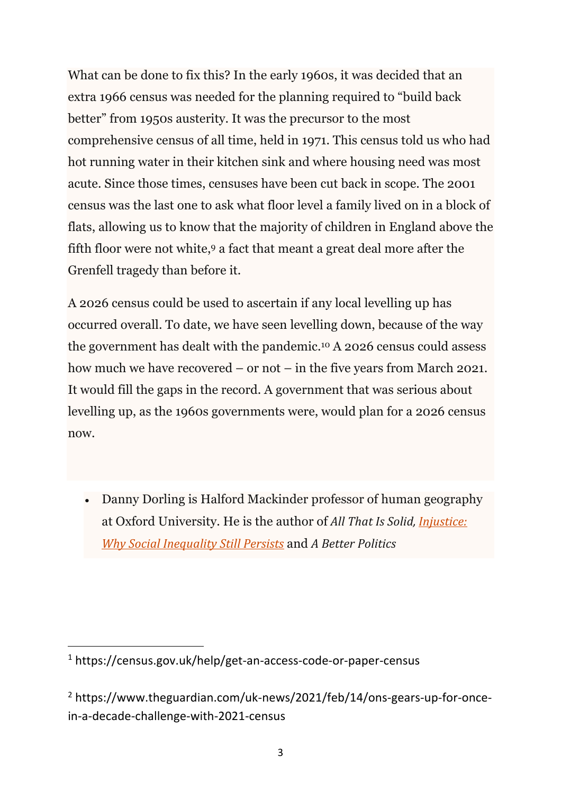What can be done to fix this? In the early 1960s, it was decided that an extra 1966 census was needed for the planning required to "build back better" from 1950s austerity. It was the precursor to the most comprehensive census of all time, held in 1971. This census told us who had hot running water in their kitchen sink and where housing need was most acute. Since those times, censuses have been cut back in scope. The 2001 census was the last one to ask what floor level a family lived on in a block of flats, allowing us to know that the majority of children in England above the fifth floor were not white,9 a fact that meant a great deal more after the Grenfell tragedy than before it.

A 2026 census could be used to ascertain if any local levelling up has occurred overall. To date, we have seen levelling down, because of the way the government has dealt with the pandemic.10 A 2026 census could assess how much we have recovered – or not – in the five years from March 2021. It would fill the gaps in the record. A government that was serious about levelling up, as the 1960s governments were, would plan for a 2026 census now.

• Danny Dorling is Halford Mackinder professor of human geography at Oxford University. He is the author of *All That Is Solid, Injustice: Why Social Inequality Still Persists* and *A Better Politics*

<sup>1</sup> https://census.gov.uk/help/get-an-access-code-or-paper-census

<sup>2</sup> https://www.theguardian.com/uk-news/2021/feb/14/ons-gears-up-for-oncein-a-decade-challenge-with-2021-census